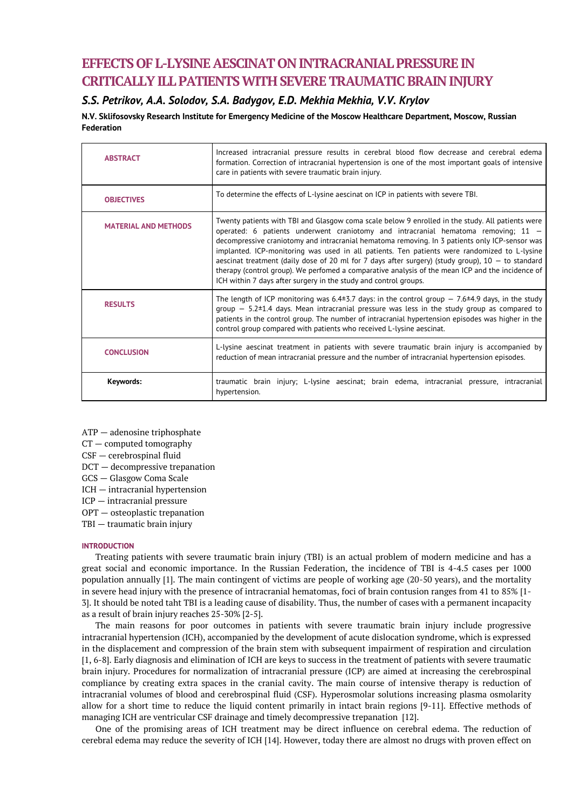# **EFFECTS OF L-LYSINE AESCINAT ON INTRACRANIAL PRESSUREIN CRITICALLY ILL PATIENTS WITH SEVERE TRAUMATIC BRAIN INJURY**

# *S.S. Petrikov, A.A. Solodov, S.A. Badygov, E.D. Mekhia Mekhia, V.V. Krylov*

**N.V. Sklifosovsky Research Institute for Emergency Medicine of the Moscow Healthcare Department, Moscow, Russian Federation**

| <b>ABSTRACT</b>             | Increased intracranial pressure results in cerebral blood flow decrease and cerebral edema<br>formation. Correction of intracranial hypertension is one of the most important goals of intensive<br>care in patients with severe traumatic brain injury.                                                                                                                                                                                                                                                                                                                                                                                                                  |
|-----------------------------|---------------------------------------------------------------------------------------------------------------------------------------------------------------------------------------------------------------------------------------------------------------------------------------------------------------------------------------------------------------------------------------------------------------------------------------------------------------------------------------------------------------------------------------------------------------------------------------------------------------------------------------------------------------------------|
| <b>OBJECTIVES</b>           | To determine the effects of L-lysine aescinat on ICP in patients with severe TBI.                                                                                                                                                                                                                                                                                                                                                                                                                                                                                                                                                                                         |
| <b>MATERIAL AND METHODS</b> | Twenty patients with TBI and Glasgow coma scale below 9 enrolled in the study. All patients were<br>operated: 6 patients underwent craniotomy and intracranial hematoma removing; $11 -$<br>decompressive craniotomy and intracranial hematoma removing. In 3 patients only ICP-sensor was<br>implanted. ICP-monitoring was used in all patients. Ten patients were randomized to L-lysine<br>aescinat treatment (daily dose of 20 ml for 7 days after surgery) (study group), $10 -$ to standard<br>therapy (control group). We perfomed a comparative analysis of the mean ICP and the incidence of<br>ICH within 7 days after surgery in the study and control groups. |
| <b>RESULTS</b>              | The length of ICP monitoring was 6.4±3.7 days: in the control group $-7.6\pm4.9$ days, in the study<br>$\frac{1}{2}$ group $-$ 5.2±1.4 days. Mean intracranial pressure was less in the study group as compared to<br>patients in the control group. The number of intracranial hypertension episodes was higher in the<br>control group compared with patients who received L-lysine aescinat.                                                                                                                                                                                                                                                                           |
| <b>CONCLUSION</b>           | L-lysine aescinat treatment in patients with severe traumatic brain injury is accompanied by<br>reduction of mean intracranial pressure and the number of intracranial hypertension episodes.                                                                                                                                                                                                                                                                                                                                                                                                                                                                             |
| Keywords:                   | traumatic brain injury; L-lysine aescinat; brain edema, intracranial pressure, intracranial<br>hypertension.                                                                                                                                                                                                                                                                                                                                                                                                                                                                                                                                                              |

- ATP adenosine triphosphate
- CT computed tomography
- CSF cerebrospinal fluid
- DCT decompressive trepanation
- GCS Glasgow Coma Scale
- ICH intracranial hypertension
- ICP intracranial pressure
- OPT osteoplastic trepanation
- TBI traumatic brain injury

## **INTRODUCTION**

Treating patients with severe traumatic brain injury (TBI) is an actual problem of modern medicine and has a great social and economic importance. In the Russian Federation, the incidence of TBI is 4-4.5 cases per 1000 population annually [1]. The main contingent of viсtims are people of working age (20-50 years), and the mortality in severe head injury with the presence of intracranial hematomas, foci of brain contusion ranges from 41 to 85% [1- 3]. It should be noted taht TBI is a leading cause of disability. Thus, the number of cases with a permanent incapacity as a result of brain injury reaches 25-30% [2-5].

The main reasons for poor outcomes in patients with severe traumatic brain injury include progressive intracranial hypertension (ICH), accompanied by the development of acute dislocation syndrome, which is expressed in the displacement and compression of the brain stem with subsequent impairment of respiration and circulation [1, 6-8]. Early diagnosis and elimination of ICH are keys to success in the treatment of patients with severe traumatic brain injury. Procedures for normalization of intracranial pressure (ICP) are aimed at increasing the cerebrospinal compliance by creating extra spaces in the cranial cavity. The main course of intensive therapy is reduction of intracranial volumes of blood and cerebrospinal fluid (CSF). Hyperosmolar solutions increasing plasma osmolarity allow for a short time to reduce the liquid content primarily in intact brain regions [9-11]. Effective methods of managing ICH are ventricular CSF drainage and timely decompressive trepanation [12].

One of the promising areas of ICH treatment may be direct influence on cerebral edema. The reduction of cerebral edema may reduce the severity of ICH [14]. However, today there are almost no drugs with proven effect on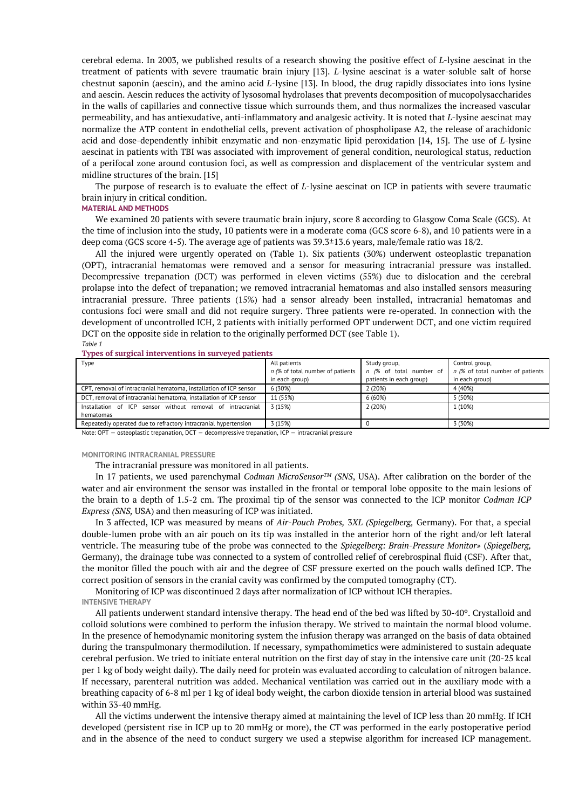cerebral edema. In 2003, we published results of a research showing the positive effect of *L*-lysine aescinat in the treatment of patients with severe traumatic brain injury [13]. *L*-lysine aescinat is a water-soluble salt of horse chestnut saponin (aescin), and the amino acid *L*-lysine [13]. In blood, the drug rapidly dissociates into ions lysine and aescin. Aescin reduces the activity of lysosomal hydrolases that prevents decomposition of mucopolysaccharides in the walls of capillaries and connective tissue which surrounds them, and thus normalizes the increased vascular permeability, and has antiexudative, anti-inflammatory and analgesic activity. It is noted that *L*-lysine aescinat may normalize the ATP content in endothelial cells, prevent activation of phospholipase A2, the release of arachidonic acid and dose-dependently inhibit enzymatic and non-enzymatic lipid peroxidation [14, 15]. The use of *L*-lysine aescinat in patients with TBI was associated with improvement of general condition, neurological status, reduction of a perifocal zone around contusion foci, as well as compression and displacement of the ventricular system and midline structures of the brain. [15]

The purpose of research is to evaluate the effect of *L*-lysine aescinat on ICP in patients with severe traumatic brain injury in critical condition.

### **MATERIAL AND METHODS**

We examined 20 patients with severe traumatic brain injury, score 8 according to Glasgow Coma Scale (GCS). At the time of inclusion into the study, 10 patients were in a moderate coma (GCS score 6-8), and 10 patients were in a deep coma (GCS score 4-5). The average age of patients was 39.3±13.6 years, male/female ratio was 18/2.

All the injured were urgently operated on (Table 1). Six patients (30%) underwent osteoplastic trepanation (OPT), intracranial hematomas were removed and a sensor for measuring intracranial pressure was installed. Decompressive trepanation (DCT) was performed in eleven victims (55%) due to dislocation and the cerebral prolapse into the defect of trepanation; we removed intracranial hematomas and also installed sensors measuring intracranial pressure. Three patients (15%) had a sensor already been installed, intracranial hematomas and contusions foci were small and did not require surgery. Three patients were re-operated. In connection with the development of uncontrolled ICH, 2 patients with initially performed OPT underwent DCT, and one victim required DCT on the opposite side in relation to the originally performed DCT (see Table 1). *Table 1*

**Types of surgical interventions in surveyed patients**

| Type                                                              | All patients                     | Study group,            | Control group,                                             |  |  |
|-------------------------------------------------------------------|----------------------------------|-------------------------|------------------------------------------------------------|--|--|
|                                                                   | n (% of total number of patients |                         | n (% of total number of   n (% of total number of patients |  |  |
|                                                                   | in each group)                   | patients in each group) | in each group)                                             |  |  |
| CPT, removal of intracranial hematoma, installation of ICP sensor | 6 (30%)                          | 2 (20%)                 | 4 (40%)                                                    |  |  |
| DCT, removal of intracranial hematoma, installation of ICP sensor | 11 (55%)                         | 6(60%)                  | 5 (50%)                                                    |  |  |
| Installation of ICP sensor without removal of intracranial        | 3 (15%)                          | 2(20%)                  | 1 (10%)                                                    |  |  |
| hematomas                                                         |                                  |                         |                                                            |  |  |
| Repeatedly operated due to refractory intracranial hypertension   | 3(15%)                           |                         | 3 (30%)                                                    |  |  |

Note: OPT — osteoplastic trepanation, DCT — decompressive trepanation, ICP — intracranial pressure

#### **MONITORING INTRACRANIAL PRESSURE**

The intracranial pressure was monitored in all patients.

In 17 patients, we used parenchymal *Codman MicroSensorTM (SNS*, USA). After calibration on the border of the water and air environment the sensor was installed in the frontal or temporal lobe opposite to the main lesions of the brain to a depth of 1.5-2 cm. The proximal tip of the sensor was connected to the ICP monitor *Codman ICP Express (SNS,* USA) and then measuring of ICP was initiated.

In 3 affected, ICP was measured by means of *Air-Pouch Probes,* 3*XL (Spiegelberg,* Germany). For that, a special double-lumen probe with an air pouch on its tip was installed in the anterior horn of the right and/or left lateral ventricle. The measuring tube of the probe was connected to the *Spiegelberg: Brain-Pressure Monitor»* (*Spiegelberg,* Germany), the drainage tube was connected to a system of controlled relief of cerebrospinal fluid (CSF). After that, the monitor filled the pouch with air and the degree of CSF pressure exerted on the pouch walls defined ICP. The correct position of sensors in the cranial cavity was confirmed by the computed tomography (CT).

Monitoring of ICP was discontinued 2 days after normalization of ICP without ICH therapies. **INTENSIVE THERAPY**

All patients underwent standard intensive therapy. The head end of the bed was lifted by 30-40º. Crystalloid and colloid solutions were combined to perform the infusion therapy. We strived to maintain the normal blood volume. In the presence of hemodynamic monitoring system the infusion therapy was arranged on the basis of data obtained during the transpulmonary thermodilution. If necessary, sympathomimetics were administered to sustain adequate cerebral perfusion. We tried to initiate enteral nutrition on the first day of stay in the intensive care unit (20-25 kcal per 1 kg of body weight daily). The daily need for protein was evaluated according to calculation of nitrogen balance. If necessary, parenteral nutrition was added. Mechanical ventilation was carried out in the auxiliary mode with a breathing capacity of 6-8 ml per 1 kg of ideal body weight, the carbon dioxide tension in arterial blood was sustained within 33-40 mmHg.

All the victims underwent the intensive therapy aimed at maintaining the level of ICP less than 20 mmHg. If ICH developed (persistent rise in ICP up to 20 mmHg or more), the CT was performed in the early postoperative period and in the absence of the need to conduct surgery we used a stepwise algorithm for increased ICP management.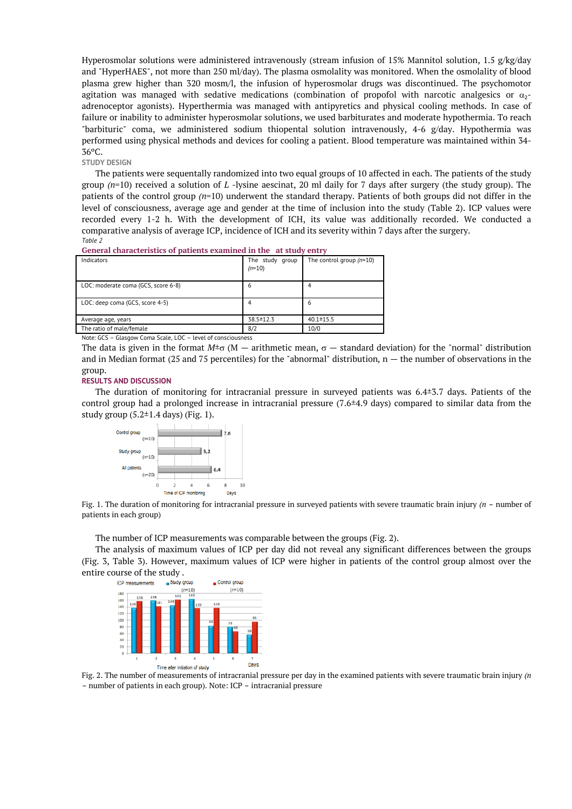Hyperosmolar solutions were administered intravenously (stream infusion of 15% Mannitol solution, 1.5 g/kg/day and "HyperHAES", not more than 250 ml/day). The plasma osmolality was monitored. When the osmolality of blood plasma grew higher than 320 mosm/l, the infusion of hyperosmolar drugs was discontinued. The psychomotor agitation was managed with sedative medications (combination of propofol with narcotic analgesics or  $\alpha_2$ adrenoceptor agonists). Hyperthermia was managed with antipyretics and physical cooling methods. In case of failure or inability to administer hyperosmolar solutions, we used barbiturates and moderate hypothermia. To reach "barbituric" coma, we administered sodium thiopental solution intravenously, 4-6 g/day. Hypothermia was performed using physical methods and devices for cooling a patient. Blood temperature was maintained within 34- 36ºC.

### **STUDY DESIGN**

The patients were sequentally randomized into two equal groups of 10 affected in each. The patients of the study group *(n*=10) received a solution of *L* -lysine aescinat, 20 ml daily for 7 days after surgery (the study group). The patients of the control group *(n*=10) underwent the standard therapy. Patients of both groups did not differ in the level of consciousness, average age and gender at the time of inclusion into the study (Table 2). ICP values were recorded every 1-2 h. With the development of ICH, its value was additionally recorded. We conducted a comparative analysis of average ICP, incidence of ICH and its severity within 7 days after the surgery. *Table 2*

| Indicators                                               | The study group<br>$(n=10)$ | The control group $(n=10)$ |  |  |  |  |  |  |  |
|----------------------------------------------------------|-----------------------------|----------------------------|--|--|--|--|--|--|--|
| LOC: moderate coma (GCS, score 6-8)                      | 6                           |                            |  |  |  |  |  |  |  |
| LOC: deep coma (GCS, score 4-5)                          |                             | 6                          |  |  |  |  |  |  |  |
| Average age, years                                       | 38.5 ± 12.3                 | $40.1 \pm 15.5$            |  |  |  |  |  |  |  |
| The ratio of male/female                                 | 8/2                         | 10/0                       |  |  |  |  |  |  |  |
| Nota: CCS Classeny Coma Scale LOC Lovel of consciousness |                             |                            |  |  |  |  |  |  |  |

**General characteristics of patients examined in the at study entry**

Note: GCS – Glasgow Coma Scale, LOC – level of consciousness

The data is given in the format  $M^{\pm}$  (M — arithmetic mean,  $\sigma$  — standard deviation) for the "normal" distribution and in Median format (25 and 75 percentiles) for the "abnormal" distribution, n — the number of observations in the group.

#### **RESULTS AND DISCUSSION**

The duration of monitoring for intracranial pressure in surveyed patients was 6.4±3.7 days. Patients of the control group had a prolonged increase in intracranial pressure  $(7.6\pm4.9 \text{ days})$  compared to similar data from the study group  $(5.2 \pm 1.4$  days) (Fig. 1).



Fig. 1. The duration of monitoring for intracranial pressure in surveyed patients with severe traumatic brain injury *(n* – number of patients in each group)

The number of ICP measurements was comparable between the groups (Fig. 2).

The analysis of maximum values of ICP per day did not reveal any significant differences between the groups (Fig. 3, Table 3). However, maximum values of ICP were higher in patients of the control group almost over the entire course of the study .



Fig. 2. The number of measurements of intracranial pressure per day in the examined patients with severe traumatic brain injury *(n* – number of patients in each group). Note: ICP – intracranial pressure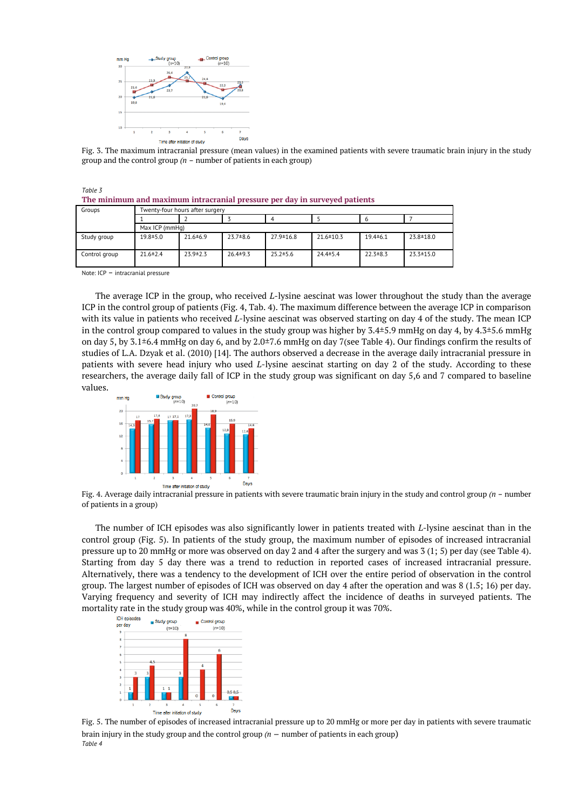

Fig. 3. The maximum intracranial pressure (mean values) in the examined patients with severe traumatic brain injury in the study group and the control group *(n* – number of patients in each group)

| The minimum and maximum intracranial pressure per day in surveyed patients |                                 |                |                |                 |                 |                |             |  |  |
|----------------------------------------------------------------------------|---------------------------------|----------------|----------------|-----------------|-----------------|----------------|-------------|--|--|
| Groups                                                                     | Twenty-four hours after surgery |                |                |                 |                 |                |             |  |  |
|                                                                            |                                 |                |                |                 |                 |                |             |  |  |
|                                                                            | Max ICP (mmHg)                  |                |                |                 |                 |                |             |  |  |
| Study group                                                                | $19.8 \pm 5.0$                  | $21.6 \pm 6.9$ | $23.7 \pm 8.6$ | $27.9 \pm 16.8$ | $21.6 \pm 10.3$ | $19.4 \pm 6.1$ | 23.8 ± 18.0 |  |  |

Control group 21.6±2.4 23.9±2.3 26.4±9.3 25.2±5.6 24.4±5.4 22.3±8.3 23.3±15.0

|  | Note: $ICP$ - intracranial pressure |  |
|--|-------------------------------------|--|
|--|-------------------------------------|--|

*Table 3*

The average ICP in the group, who received *L*-lysine aescinat was lower throughout the study than the average ICP in the control group of patients (Fig. 4, Tab. 4). The maximum difference between the average ICP in comparison with its value in patients who received *L*-lysine aescinat was observed starting on day 4 of the study. The mean ICP in the control group compared to values in the study group was higher by 3.4±5.9 mmHg on day 4, by 4.3±5.6 mmHg on day 5, by 3.1±6.4 mmHg on day 6, and by 2.0±7.6 mmHg on day 7(see Table 4). Our findings confirm the results of studies of L.A. Dzyak et al. (2010) [14]. The authors observed a decrease in the average daily intracranial pressure in patients with severe head injury who used *L*-lysine aescinat starting on day 2 of the study. According to these researchers, the average daily fall of ICP in the study group was significant on day 5,6 and 7 compared to baseline values.



Fig. 4. Average daily intracranial pressure in patients with severe traumatic brain injury in the study and control group *(n* – number of patients in a group)

The number of ICH episodes was also significantly lower in patients treated with *L*-lysine aescinat than in the control group (Fig. 5). In patients of the study group, the maximum number of episodes of increased intracranial pressure up to 20 mmHg or more was observed on day 2 and 4 after the surgery and was 3 (1; 5) per day (see Table 4). Starting from day 5 day there was a trend to reduction in reported cases of increased intracranial pressure. Alternatively, there was a tendency to the development of ICH over the entire period of observation in the control group. The largest number of episodes of ICH was observed on day 4 after the operation and was 8 (1.5; 16) per day. Varying frequency and severity of ICH may indirectly affect the incidence of deaths in surveyed patients. The mortality rate in the study group was 40%, while in the control group it was 70%.



Fig. 5. The number of episodes of increased intracranial pressure up to 20 mmHg or more per day in patients with severe traumatic brain injury in the study group and the control group *(n* — number of patients in each group) *Table 4*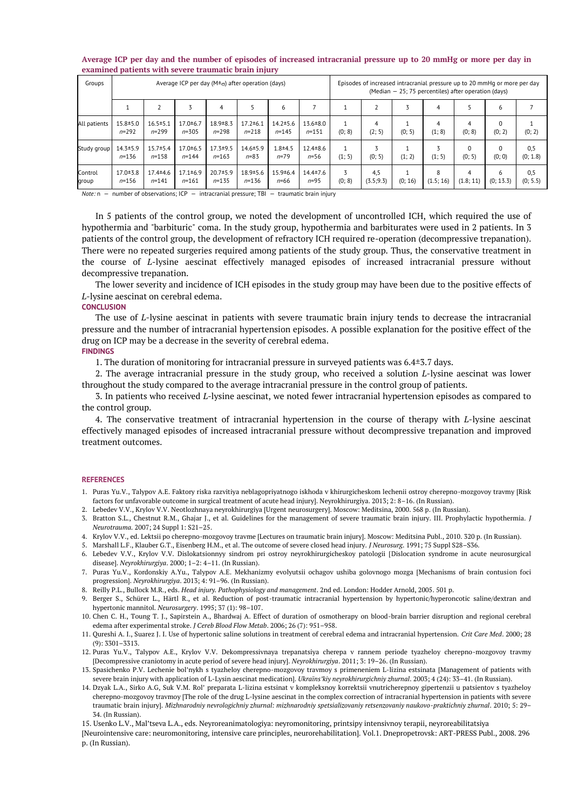| Groups           | Average ICP per day ( $M\pm\sigma$ ) after operation (days) |                             |                             |                             |                             |                             | Episodes of increased intracranial pressure up to 20 mmHq or more per day<br>(Median - 25; 75 percentiles) after operation (days) |        |                   |         |                |                    |                    |                 |
|------------------|-------------------------------------------------------------|-----------------------------|-----------------------------|-----------------------------|-----------------------------|-----------------------------|-----------------------------------------------------------------------------------------------------------------------------------|--------|-------------------|---------|----------------|--------------------|--------------------|-----------------|
|                  |                                                             |                             |                             | 4                           |                             | 6                           |                                                                                                                                   |        |                   |         | 4              |                    | 6                  |                 |
| All patients     | $15.8 + 5.0$<br>$n = 292$                                   | $16.5 \pm 5.1$<br>$n = 299$ | $17.0 + 6.7$<br>$n = 305$   | $18.9 + 8.3$<br>$n = 298$   | $17.2 \pm 6.1$<br>$n = 218$ | $14.2 \pm 5.6$<br>$n = 145$ | $13.6 \pm 8.0$<br>$n = 151$                                                                                                       | (0; 8) | 4<br>(2; 5)       | (0; 5)  | 4<br>(1; 8)    | (0; 8)             | $\Omega$<br>(0; 2) | (0; 2)          |
| Study group      | $14.3 \pm 5.9$<br>$n = 136$                                 | $15.7 \pm 5.4$<br>$n = 158$ | $17.0 \pm 6.5$<br>$n = 144$ | $17.3 + 9.5$<br>$n = 163$   | $14.6 \pm 5.9$<br>$n = 83$  | $1.8 + 4.5$<br>$n = 79$     | $12.4 \pm 8.6$<br>$n = 56$                                                                                                        | (1; 5) | (0; 5)            | (1; 2)  | (1; 5)         | $\Omega$<br>(0; 5) | $\Omega$<br>(0; 0) | 0,5<br>(0; 1.8) |
| Control<br>group | $17.0 \pm 3.8$<br>$n = 156$                                 | $17.4 \pm 4.6$<br>$n = 141$ | $17.1 \pm 6.9$<br>$n = 161$ | $20.7 \pm 5.9$<br>$n = 135$ | $18.9 + 5.6$<br>$n = 136$   | $15.9 \pm 6.4$<br>$n = 66$  | $14.4 \pm 7.6$<br>$n = 95$                                                                                                        | (0; 8) | 4,5<br>(3.5; 9.3) | (0; 16) | 8<br>(1.5; 16) | 4<br>(1.8; 11)     | 6<br>(0; 13.3)     | 0,5<br>(0; 5.5) |

#### **Average ICP per day and the number of episodes of increased intracranial pressure up to 20 mmHg or more per day in examined patients with severe traumatic brain injury**

*Note:* n — number of observations; ICP — intracranial pressure; TBI — traumatic brain injury

In 5 patients of the control group, we noted the development of uncontrolled ICH, which required the use of hypothermia and "barbituric" coma. In the study group, hypothermia and barbiturates were used in 2 patients. In 3 patients of the control group, the development of refractory ICH required re-operation (decompressive trepanation). There were no repeated surgeries required among patients of the study group. Thus, the conservative treatment in the course of *L*-lysine aescinat effectively managed episodes of increased intracranial pressure without decompressive trepanation.

The lower severity and incidence of ICH episodes in the study group may have been due to the positive effects of *L*-lysine aescinat on cerebral edema.

#### **CONCLUSION**

The use of *L*-lysine aescinat in patients with severe traumatic brain injury tends to decrease the intracranial pressure and the number of intracranial hypertension episodes. A possible explanation for the positive effect of the drug on ICP may be a decrease in the severity of cerebral edema. **FINDINGS**

1. The duration of monitoring for intracranial pressure in surveyed patients was 6.4±3.7 days.

2. The average intracranial pressure in the study group, who received a solution *L*-lysine aescinat was lower throughout the study compared to the average intracranial pressure in the control group of patients.

3. In patients who received *L*-lysine aescinat, we noted fewer intracranial hypertension episodes as compared to the control group.

4. The conservative treatment of intracranial hypertension in the course of therapy with *L*-lysine aescinat effectively managed episodes of increased intracranial pressure without decompressive trepanation and improved treatment outcomes.

#### **REFERENCES**

1. Puras Yu.V., Talypov A.E. Faktory riska razvitiya neblagopriyatnogo iskhoda v khirurgicheskom lechenii ostroy cherepno-mozgovoy travmy [Risk factors for unfavorable outcome in surgical treatment of acute head injury]. Neyrokhirurgiya. 2013; 2: 8–16. (In Russian).

2. Lebedev V.V., Krylov V.V. Neotlozhnaya neyrokhirurgiya [Urgent neurosurgery]. Moscow: Meditsina, 2000. 568 p. (In Russian).

- 3. Bratton S.L., Chestnut R.M., Ghajar J., et al. Guidelines for the management of severe traumatic brain injury. III. Prophylactic hypothermia. *J Neurotrauma.* 2007; 24 Suppl 1: S21–25.
- 4. Krylov V.V., ed. Lektsii po cherepno-mozgovoy travme [Lectures on traumatic brain injury]. Moscow: Meditsina Publ., 2010. 320 p. (In Russian).
- 5. Marshall L.F., Klauber G.T., Eisenberg H.M., et al. The outcome of severe closed head injury. *J Neurosurg*. 1991; 75 Suppl S28–S36.
- 6. Lebedev V.V., Krylov V.V. Dislokatsionnyy sindrom pri ostroy neyrokhirurgicheskoy patologii [Dislocation syndrome in acute neurosurgical disease]. *Neyrokhirurgiya*. 2000; 1–2: 4–11. (In Russian).
- 7. Puras Yu.V., Kordonskiy A.Yu., Talypov A.E. Mekhanizmy evolyutsii ochagov ushiba golovnogo mozga [Mechanisms of brain contusion foci progression]. *Neyrokhirurgiya*. 2013; 4: 91–96. (In Russian).
- 8. Reilly P.L., Bullock M.R., еds. *Head injury. Pathophysiology and management*. 2nd ed. London: Hodder Arnold, 2005. 501 p.
- 9. Berger S., Schürer L., Härtl R., et al. Reduction of post-traumatic intracranial hypertension by hypertonic/hyperoncotic saline/dextran and hypertonic mannitol. *Neurosurgery*. 1995; 37 (1): 98–107.
- 10. Chen C. H., Toung T. J., Sapirstein A., Bhardwaj A. Effect of duration of osmotherapy on blood-brain barrier disruption and regional cerebral edema after experimental stroke. *J Cereb Blood Flow Metab*. 2006; 26 (7): 951–958.
- 11. Qureshi A. I., Suarez J. I. Use of hypertonic saline solutions in treatment of cerebral edema and intracranial hypertension. *Crit Care Med*. 2000; 28 (9): 3301–3313.
- 12. Puras Yu.V., Talypov A.E., Krylov V.V. Dekompressivnaya trepanatsiya cherepa v rannem periode tyazheloy cherepno-mozgovoy travmy [Decompressive craniotomy in acute period of severe head injury]. *Neyrokhirurgiya*. 2011; 3: 19–26. (In Russian).
- 13. Spasichenko P.V. Lechenie bol'nykh s tyazheloy cherepno-mozgovoy travmoy s primeneniem L-lizina estsinata [Management of patients with severe brain injury with application of L-Lysin aescinat medication]. *Ukraїns'kiy neyrokhіrurgіchniy zhurnal*. 2003; 4 (24): 33–41. (In Russian).
- 14. Dzyak L.A., Sirko A.G, Suk V.M. Rol' preparata L-lizina estsinat v kompleksnoy korrektsii vnutricherepnoy gipertenzii u patsientov s tyazheloy cherepno-mozgovoy travmoy [The role of the drug L-lysine aescinat in the complex correction of intracranial hypertension in patients with severe traumatic brain injury]. *Mіzhnarodniy nevrologіchniy zhurnal: mіzhnarodniy spetsіalіzovaniy retsenzovaniy naukovo-praktichniy zhurnal*. 2010; 5: 29– 34. (In Russian).

15. Usenko L.V., Mal'tseva L.A., eds. Neyroreanimatologiya: neyromonitoring, printsipy intensivnoy terapii, neyroreabilitatsiya

[Neurointensive care: neuromonitoring, intensive care principles, neurorehabilitation]. Vol.1. Dnepropetrovsk: ART-PRESS Publ., 2008. 296 p. (In Russian).